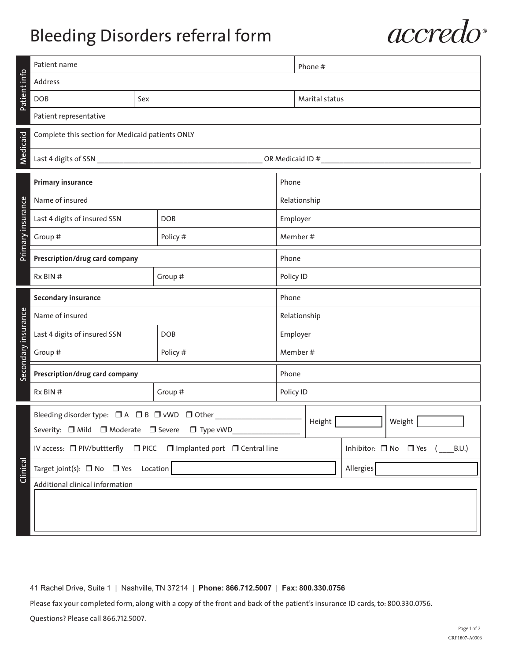## Bleeding Disorders referral form



|                     | Patient name                                     |          |                                                                    |              | Phone #                                       |  |  |  |  |
|---------------------|--------------------------------------------------|----------|--------------------------------------------------------------------|--------------|-----------------------------------------------|--|--|--|--|
|                     | Address                                          |          |                                                                    |              |                                               |  |  |  |  |
| Patient info        | <b>DOB</b>                                       | Sex      |                                                                    |              | Marital status                                |  |  |  |  |
|                     | Patient representative                           |          |                                                                    |              |                                               |  |  |  |  |
|                     | Complete this section for Medicaid patients ONLY |          |                                                                    |              |                                               |  |  |  |  |
| Medicaid            | OR Medicaid ID #                                 |          |                                                                    |              |                                               |  |  |  |  |
|                     | <b>Primary insurance</b>                         |          |                                                                    | Phone        |                                               |  |  |  |  |
|                     | Name of insured                                  |          |                                                                    | Relationship |                                               |  |  |  |  |
|                     | Last 4 digits of insured SSN                     |          | <b>DOB</b>                                                         |              | Employer                                      |  |  |  |  |
| Primary insurance   | Group #                                          |          | Policy #                                                           |              | Member #                                      |  |  |  |  |
|                     | Prescription/drug card company                   |          |                                                                    | Phone        |                                               |  |  |  |  |
|                     | $Rx$ BIN $#$                                     | Group #  | Policy ID                                                          |              |                                               |  |  |  |  |
|                     | Secondary insurance                              |          |                                                                    | Phone        |                                               |  |  |  |  |
|                     | Name of insured                                  |          |                                                                    | Relationship |                                               |  |  |  |  |
|                     | Last 4 digits of insured SSN                     |          | <b>DOB</b>                                                         |              | Employer                                      |  |  |  |  |
| Secondary insurance | Group #                                          |          | Policy #                                                           |              | Member #                                      |  |  |  |  |
|                     | Prescription/drug card company                   |          |                                                                    | Phone        |                                               |  |  |  |  |
|                     | Rx BIN #                                         |          | Group #                                                            |              | Policy ID                                     |  |  |  |  |
|                     | Bleeding disorder type: □ A □ B □ vWD □ Other    |          |                                                                    |              | Weight<br>Height                              |  |  |  |  |
|                     | Severity: □ Mild □ Moderate □ Severe □ Type vWD  |          |                                                                    |              |                                               |  |  |  |  |
|                     |                                                  |          | IV access: □ PIV/buttterfly □ PICC □ Implanted port □ Central line |              | Inhibitor: $\Box$ No $\Box$ Yes (<br>$B.U.$ ) |  |  |  |  |
| Clinical            | Target joint(s): $\Box$ No $\Box$ Yes            | Location |                                                                    | Allergies    |                                               |  |  |  |  |
|                     | Additional clinical information                  |          |                                                                    |              |                                               |  |  |  |  |
|                     |                                                  |          |                                                                    |              |                                               |  |  |  |  |
|                     |                                                  |          |                                                                    |              |                                               |  |  |  |  |

41 Rachel Drive, Suite 1 | Nashville, TN 37214 | **Phone: 866.712.5007** | **Fax: 800.330.0756**

Please fax your completed form, along with a copy of the front and back of the patient's insurance ID cards, to: 800.330.0756. Questions? Please call 866.712.5007.